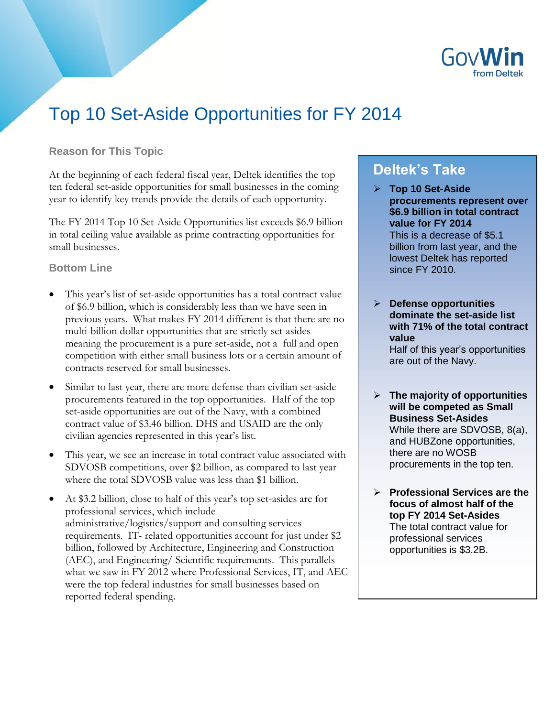

# Top 10 Set-Aside Opportunities for FY 2014

# **Reason for This Topic**

At the beginning of each federal fiscal year, Deltek identifies the top ten federal set-aside opportunities for small businesses in the coming year to identify key trends provide the details of each opportunity.

The FY 2014 Top 10 Set-Aside Opportunities list exceeds \$6.9 billion in total ceiling value available as prime contracting opportunities for small businesses.

# **Bottom Line**

- This year's list of set-aside opportunities has a total contract value of \$6.9 billion, which is considerably less than we have seen in previous years. What makes FY 2014 different is that there are no multi-billion dollar opportunities that are strictly set-asides meaning the procurement is a pure set-aside, not a full and open competition with either small business lots or a certain amount of contracts reserved for small businesses.
- Similar to last year, there are more defense than civilian set-aside procurements featured in the top opportunities. Half of the top set-aside opportunities are out of the Navy, with a combined contract value of \$3.46 billion. DHS and USAID are the only civilian agencies represented in this year's list.
- This year, we see an increase in total contract value associated with SDVOSB competitions, over \$2 billion, as compared to last year where the total SDVOSB value was less than \$1 billion.
- At \$3.2 billion, close to half of this year's top set-asides are for professional services, which include administrative/logistics/support and consulting services requirements. IT- related opportunities account for just under \$2 billion, followed by Architecture, Engineering and Construction (AEC), and Engineering/ Scientific requirements. This parallels what we saw in FY 2012 where Professional Services, IT, and AEC were the top federal industries for small businesses based on reported federal spending.

# **Deltek's Take**

- **Top 10 Set-Aside procurements represent over \$6.9 billion in total contract value for FY 2014** This is a decrease of \$5.1 billion from last year, and the lowest Deltek has reported since FY 2010.
- **Defense opportunities dominate the set-aside list with 71% of the total contract value**  Half of this year's opportunities are out of the Navy.
- **The majority of opportunities will be competed as Small Business Set-Asides** While there are SDVOSB, 8(a), and HUBZone opportunities, there are no WOSB procurements in the top ten.
- **Professional Services are the focus of almost half of the top FY 2014 Set-Asides**  The total contract value for professional services opportunities is \$3.2B.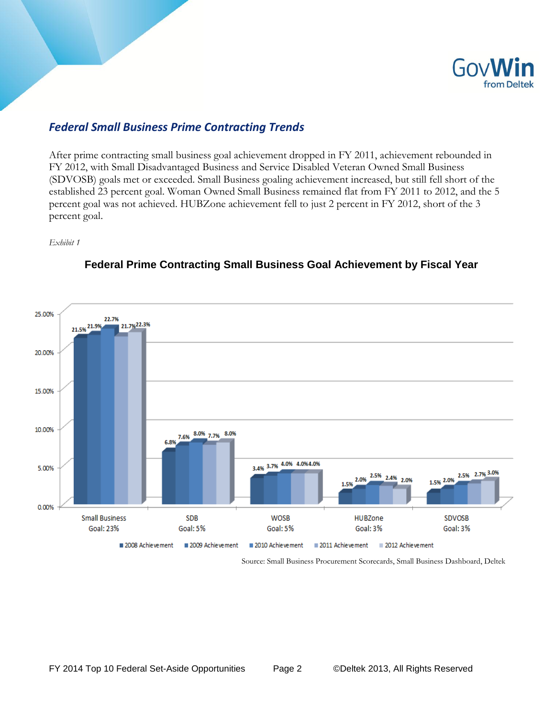

# *Federal Small Business Prime Contracting Trends*

After prime contracting small business goal achievement dropped in FY 2011, achievement rebounded in FY 2012, with Small Disadvantaged Business and Service Disabled Veteran Owned Small Business (SDVOSB) goals met or exceeded. Small Business goaling achievement increased, but still fell short of the established 23 percent goal. Woman Owned Small Business remained flat from FY 2011 to 2012, and the 5 percent goal was not achieved. HUBZone achievement fell to just 2 percent in FY 2012, short of the 3 percent goal.

*Exhibit 1*



# **Federal Prime Contracting Small Business Goal Achievement by Fiscal Year**

Source: Small Business Procurement Scorecards, Small Business Dashboard, Deltek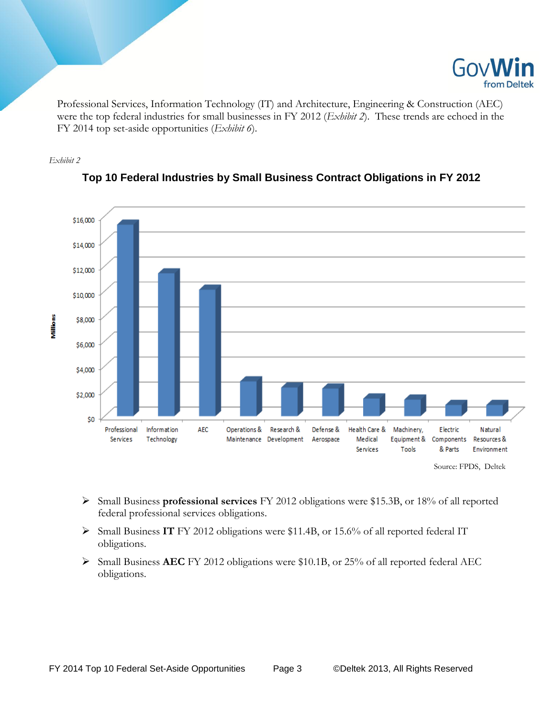

Professional Services, Information Technology (IT) and Architecture, Engineering & Construction (AEC) were the top federal industries for small businesses in FY 2012 (*Exhibit 2*). These trends are echoed in the FY 2014 top set-aside opportunities (*Exhibit 6*).





# **Top 10 Federal Industries by Small Business Contract Obligations in FY 2012**

- Small Business **professional services** FY 2012 obligations were \$15.3B, or 18% of all reported federal professional services obligations.
- Small Business **IT** FY 2012 obligations were \$11.4B, or 15.6% of all reported federal IT obligations.
- Small Business **AEC** FY 2012 obligations were \$10.1B, or 25% of all reported federal AEC obligations.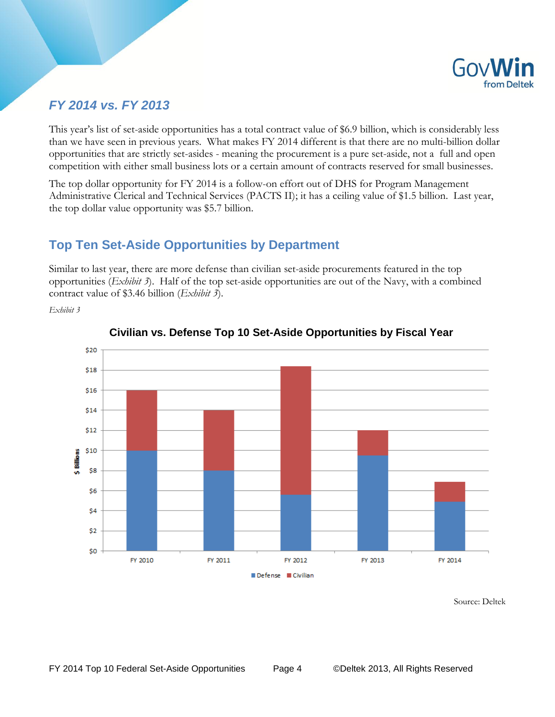

# *FY 2014 vs. FY 2013*

This year's list of set-aside opportunities has a total contract value of \$6.9 billion, which is considerably less than we have seen in previous years. What makes FY 2014 different is that there are no multi-billion dollar opportunities that are strictly set-asides - meaning the procurement is a pure set-aside, not a full and open competition with either small business lots or a certain amount of contracts reserved for small businesses.

The top dollar opportunity for FY 2014 is a follow-on effort out of DHS for Program Management Administrative Clerical and Technical Services (PACTS II); it has a ceiling value of \$1.5 billion. Last year, the top dollar value opportunity was \$5.7 billion.

# **Top Ten Set-Aside Opportunities by Department**

Similar to last year, there are more defense than civilian set-aside procurements featured in the top opportunities (*Exhibit 3*). Half of the top set-aside opportunities are out of the Navy, with a combined contract value of \$3.46 billion (*Exhibit 3*).

*Exhibit 3*



**Civilian vs. Defense Top 10 Set-Aside Opportunities by Fiscal Year**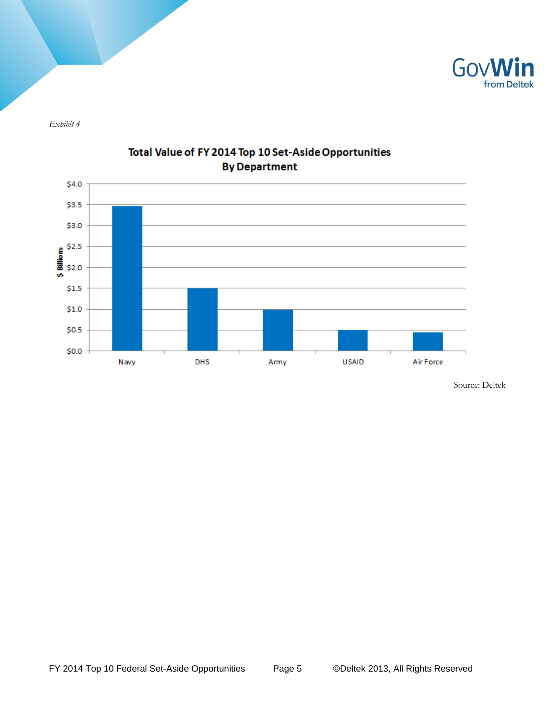

*Exhibit 4*



# Total Value of FY 2014 Top 10 Set-Aside Opportunities **By Department**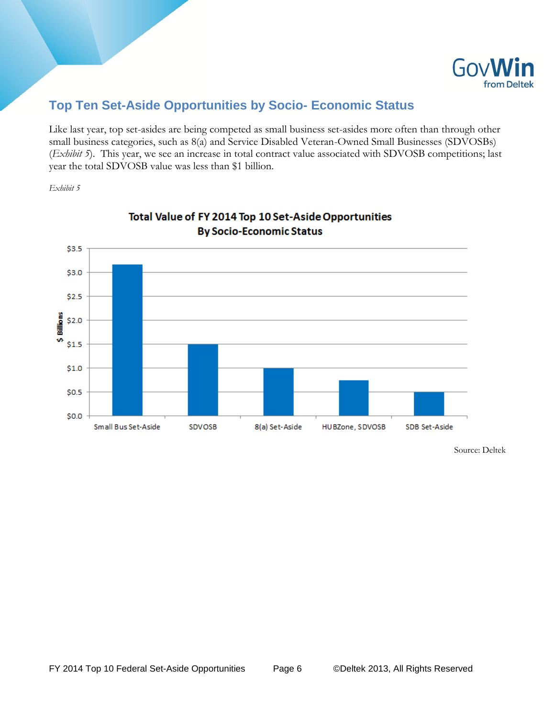

# **Top Ten Set-Aside Opportunities by Socio- Economic Status**

Like last year, top set-asides are being competed as small business set-asides more often than through other small business categories, such as 8(a) and Service Disabled Veteran-Owned Small Businesses (SDVOSBs) (*Exhibit 5*). This year, we see an increase in total contract value associated with SDVOSB competitions; last year the total SDVOSB value was less than \$1 billion.

*Exhibit 5*



# Total Value of FY 2014 Top 10 Set-Aside Opportunities **By Socio-Economic Status**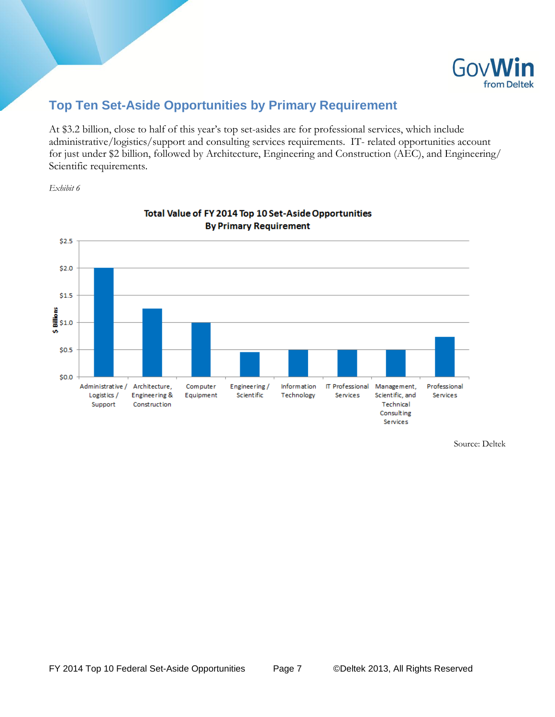

# **Top Ten Set-Aside Opportunities by Primary Requirement**

At \$3.2 billion, close to half of this year's top set-asides are for professional services, which include administrative/logistics/support and consulting services requirements. IT- related opportunities account for just under \$2 billion, followed by Architecture, Engineering and Construction (AEC), and Engineering/ Scientific requirements.

*Exhibit 6*



# Total Value of FY 2014 Top 10 Set-Aside Opportunities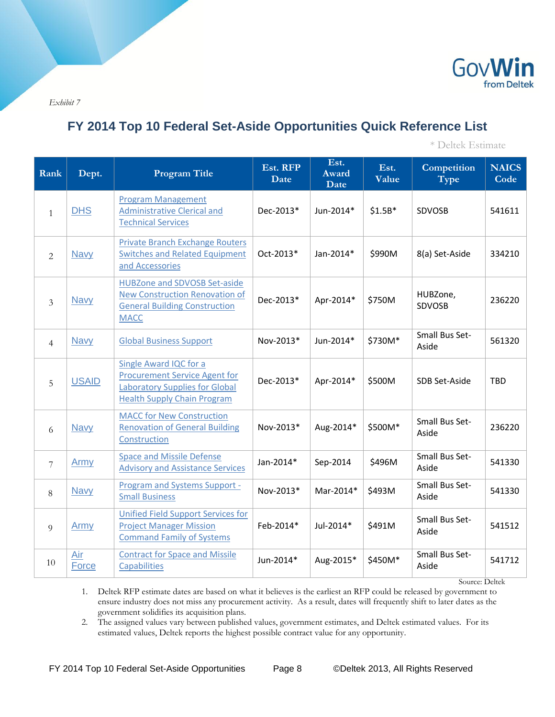

*Exhibit 7*

# **FY 2014 Top 10 Federal Set-Aside Opportunities Quick Reference List**

\* Deltek Estimate

| Rank           | Dept.        | <b>Program Title</b>                                                                                                                          | Est. RFP<br>Date | Est.<br><b>Award</b><br>Date | Est.<br>Value | Competition<br><b>Type</b>     | <b>NAICS</b><br>Code |
|----------------|--------------|-----------------------------------------------------------------------------------------------------------------------------------------------|------------------|------------------------------|---------------|--------------------------------|----------------------|
| $\mathbf{1}$   | <b>DHS</b>   | <b>Program Management</b><br><b>Administrative Clerical and</b><br><b>Technical Services</b>                                                  | Dec-2013*        | Jun-2014*                    | $$1.5B*$      | SDVOSB                         | 541611               |
| 2              | <b>Navy</b>  | <b>Private Branch Exchange Routers</b><br><b>Switches and Related Equipment</b><br>and Accessories                                            | Oct-2013*        | Jan-2014*                    | \$990M        | 8(a) Set-Aside                 | 334210               |
| 3              | <b>Navy</b>  | <b>HUBZone and SDVOSB Set-aside</b><br><b>New Construction Renovation of</b><br><b>General Building Construction</b><br><b>MACC</b>           | Dec-2013*        | Apr-2014*                    | \$750M        | HUBZone,<br><b>SDVOSB</b>      | 236220               |
| $\overline{4}$ | <b>Navy</b>  | <b>Global Business Support</b>                                                                                                                | Nov-2013*        | Jun-2014*                    | \$730M*       | Small Bus Set-<br>Aside        | 561320               |
| 5              | <b>USAID</b> | Single Award IQC for a<br><b>Procurement Service Agent for</b><br><b>Laboratory Supplies for Global</b><br><b>Health Supply Chain Program</b> | Dec-2013*        | Apr-2014*                    | \$500M        | SDB Set-Aside                  | <b>TBD</b>           |
| 6              | <b>Navy</b>  | <b>MACC for New Construction</b><br><b>Renovation of General Building</b><br>Construction                                                     | Nov-2013*        | Aug-2014*                    | \$500M*       | Small Bus Set-<br>Aside        | 236220               |
| $\overline{7}$ | Army         | <b>Space and Missile Defense</b><br><b>Advisory and Assistance Services</b>                                                                   | Jan-2014*        | Sep-2014                     | \$496M        | Small Bus Set-<br>Aside        | 541330               |
| 8              | <b>Navy</b>  | <b>Program and Systems Support -</b><br><b>Small Business</b>                                                                                 | Nov-2013*        | Mar-2014*                    | \$493M        | <b>Small Bus Set-</b><br>Aside | 541330               |
| 9              | Army         | <b>Unified Field Support Services for</b><br><b>Project Manager Mission</b><br><b>Command Family of Systems</b>                               | Feb-2014*        | Jul-2014*                    | \$491M        | Small Bus Set-<br>Aside        | 541512               |
| 10             | Air<br>Force | <b>Contract for Space and Missile</b><br><b>Capabilities</b>                                                                                  | Jun-2014*        | Aug-2015*                    | \$450M*       | Small Bus Set-<br>Aside        | 541712               |

Source: Deltek

1. Deltek RFP estimate dates are based on what it believes is the earliest an RFP could be released by government to ensure industry does not miss any procurement activity. As a result, dates will frequently shift to later dates as the government solidifies its acquisition plans.

2. The assigned values vary between published values, government estimates, and Deltek estimated values. For its estimated values, Deltek reports the highest possible contract value for any opportunity.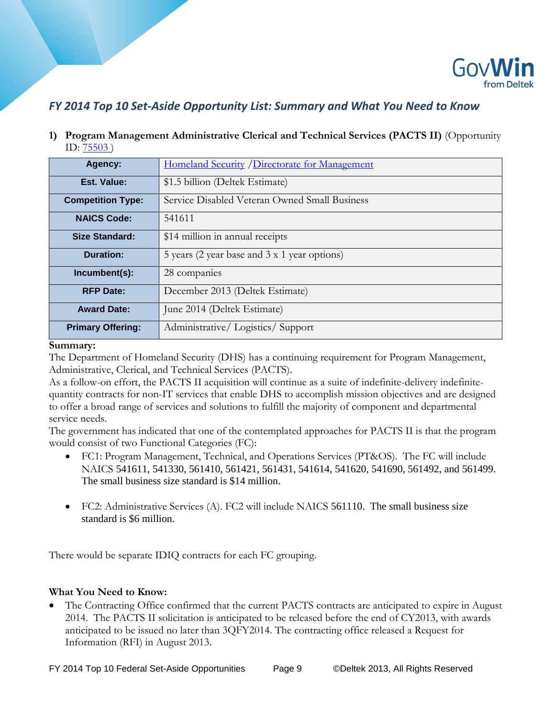

# *FY 2014 Top 10 Set-Aside Opportunity List: Summary and What You Need to Know*

**1) Program Management Administrative Clerical and Technical Services (PACTS II)** (Opportunity ID: [75503](http://iq.govwin.com/neo/opportunity/view/75503) )

| Agency:                  | Homeland Security / Directorate for Management |
|--------------------------|------------------------------------------------|
| Est. Value:              | \$1.5 billion (Deltek Estimate)                |
| <b>Competition Type:</b> | Service Disabled Veteran Owned Small Business  |
| <b>NAICS Code:</b>       | 541611                                         |
| <b>Size Standard:</b>    | \$14 million in annual receipts                |
| Duration:                | 5 years (2 year base and 3 x 1 year options)   |
| Incumbent(s):            | 28 companies                                   |
| <b>RFP Date:</b>         | December 2013 (Deltek Estimate)                |
| <b>Award Date:</b>       | June 2014 (Deltek Estimate)                    |
| <b>Primary Offering:</b> | Administrative/Logistics/Support               |

#### **Summary:**

The Department of Homeland Security (DHS) has a continuing requirement for Program Management, Administrative, Clerical, and Technical Services (PACTS).

As a follow-on effort, the PACTS II acquisition will continue as a suite of indefinite-delivery indefinitequantity contracts for non-IT services that enable DHS to accomplish mission objectives and are designed to offer a broad range of services and solutions to fulfill the majority of component and departmental service needs.

The government has indicated that one of the contemplated approaches for PACTS II is that the program would consist of two Functional Categories (FC):

- FC1: Program Management, Technical, and Operations Services (PT&OS). The FC will include NAICS 541611, 541330, 561410, 561421, 561431, 541614, 541620, 541690, 561492, and 561499. The small business size standard is \$14 million.
- FC2: Administrative Services (A). FC2 will include NAICS 561110. The small business size standard is \$6 million.

There would be separate IDIQ contracts for each FC grouping.

## **What You Need to Know:**

 The Contracting Office confirmed that the current PACTS contracts are anticipated to expire in August 2014. The PACTS II solicitation is anticipated to be released before the end of CY2013, with awards anticipated to be issued no later than 3QFY2014. The contracting office released a Request for Information (RFI) in August 2013.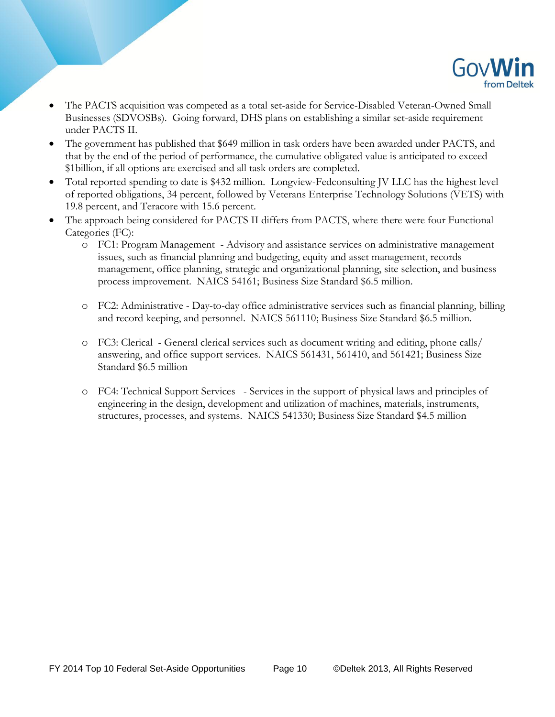

- The PACTS acquisition was competed as a total set-aside for Service-Disabled Veteran-Owned Small Businesses (SDVOSBs). Going forward, DHS plans on establishing a similar set-aside requirement under PACTS II.
- The government has published that \$649 million in task orders have been awarded under PACTS, and that by the end of the period of performance, the cumulative obligated value is anticipated to exceed \$1billion, if all options are exercised and all task orders are completed.
- Total reported spending to date is \$432 million. Longview-Fedconsulting JV LLC has the highest level of reported obligations, 34 percent, followed by Veterans Enterprise Technology Solutions (VETS) with 19.8 percent, and Teracore with 15.6 percent.
- The approach being considered for PACTS II differs from PACTS, where there were four Functional Categories (FC):
	- o FC1: Program Management Advisory and assistance services on administrative management issues, such as financial planning and budgeting, equity and asset management, records management, office planning, strategic and organizational planning, site selection, and business process improvement. NAICS 54161; Business Size Standard \$6.5 million.
	- o FC2: Administrative Day-to-day office administrative services such as financial planning, billing and record keeping, and personnel. NAICS 561110; Business Size Standard \$6.5 million.
	- o FC3: Clerical General clerical services such as document writing and editing, phone calls/ answering, and office support services. NAICS 561431, 561410, and 561421; Business Size Standard \$6.5 million
	- o FC4: Technical Support Services Services in the support of physical laws and principles of engineering in the design, development and utilization of machines, materials, instruments, structures, processes, and systems. NAICS 541330; Business Size Standard \$4.5 million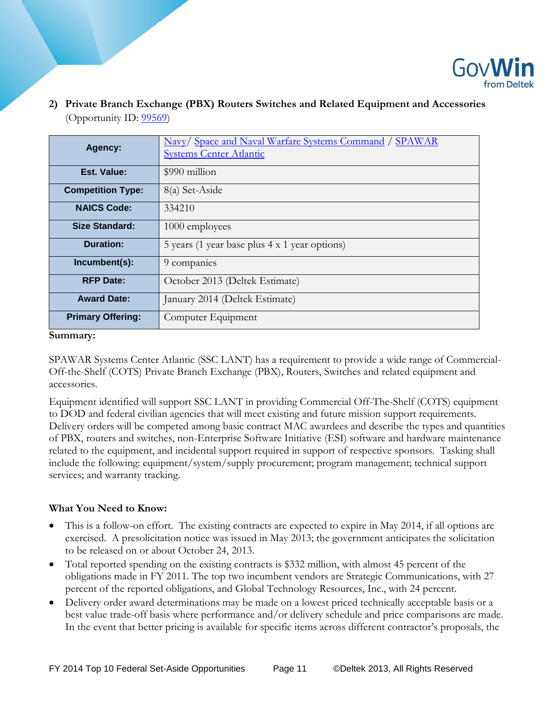

**2) Private Branch Exchange (PBX) Routers Switches and Related Equipment and Accessories** (Opportunity ID: **99569**)

| Agency:                  | Navy/ Space and Naval Warfare Systems Command / SPAWAR<br><b>Systems Center Atlantic</b> |
|--------------------------|------------------------------------------------------------------------------------------|
| Est. Value:              | \$990 million                                                                            |
| <b>Competition Type:</b> | 8(a) Set-Aside                                                                           |
| <b>NAICS Code:</b>       | 334210                                                                                   |
| <b>Size Standard:</b>    | 1000 employees                                                                           |
| Duration:                | 5 years (1 year base plus 4 x 1 year options)                                            |
| Incumbent(s):            | 9 companies                                                                              |
| <b>RFP Date:</b>         | October 2013 (Deltek Estimate)                                                           |
| <b>Award Date:</b>       | January 2014 (Deltek Estimate)                                                           |
| <b>Primary Offering:</b> | Computer Equipment                                                                       |

**Summary:**

SPAWAR Systems Center Atlantic (SSC LANT) has a requirement to provide a wide range of Commercial-Off-the-Shelf (COTS) Private Branch Exchange (PBX), Routers, Switches and related equipment and accessories.

Equipment identified will support SSC LANT in providing Commercial Off-The-Shelf (COTS) equipment to DOD and federal civilian agencies that will meet existing and future mission support requirements. Delivery orders will be competed among basic contract MAC awardees and describe the types and quantities of PBX, routers and switches, non-Enterprise Software Initiative (ESI) software and hardware maintenance related to the equipment, and incidental support required in support of respective sponsors. Tasking shall include the following: equipment/system/supply procurement; program management; technical support services; and warranty tracking.

- This is a follow-on effort. The existing contracts are expected to expire in May 2014, if all options are exercised. A presolicitation notice was issued in May 2013; the government anticipates the solicitation to be released on or about October 24, 2013.
- Total reported spending on the existing contracts is \$332 million, with almost 45 percent of the obligations made in FY 2011. The top two incumbent vendors are Strategic Communications, with 27 percent of the reported obligations, and Global Technology Resources, Inc., with 24 percent.
- Delivery order award determinations may be made on a lowest priced technically acceptable basis or a best value trade-off basis where performance and/or delivery schedule and price comparisons are made. In the event that better pricing is available for specific items across different contractor's proposals, the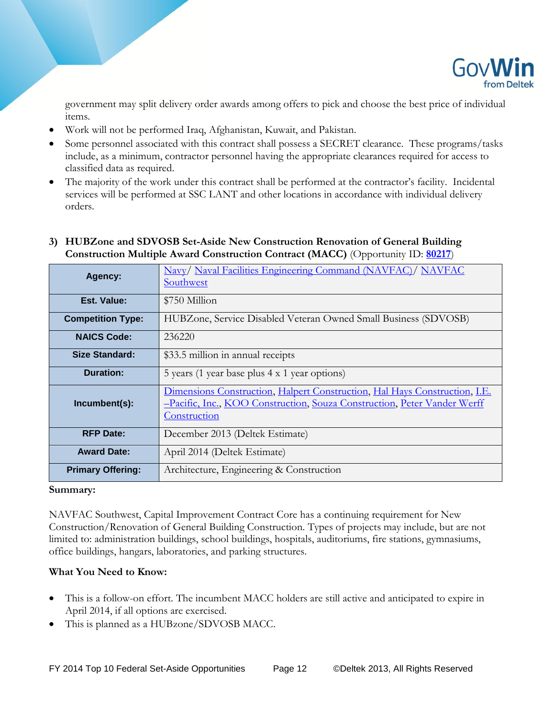

government may split delivery order awards among offers to pick and choose the best price of individual items.

- Work will not be performed Iraq, Afghanistan, Kuwait, and Pakistan.
- Some personnel associated with this contract shall possess a SECRET clearance. These programs/tasks include, as a minimum, contractor personnel having the appropriate clearances required for access to classified data as required.
- The majority of the work under this contract shall be performed at the contractor's facility. Incidental services will be performed at SSC LANT and other locations in accordance with individual delivery orders.

# **3) HUBZone and SDVOSB Set-Aside New Construction Renovation of General Building Construction Multiple Award Construction Contract (MACC)** (Opportunity ID: **[80217](http://iq.govwin.com/neo/opportunity/view/80217)**)

| Agency:                  | Navy/ Naval Facilities Engineering Command (NAVFAC)/ NAVFAC<br>Southwest                                                                                               |
|--------------------------|------------------------------------------------------------------------------------------------------------------------------------------------------------------------|
| Est. Value:              | \$750 Million                                                                                                                                                          |
| <b>Competition Type:</b> | HUBZone, Service Disabled Veteran Owned Small Business (SDVOSB)                                                                                                        |
| <b>NAICS Code:</b>       | 236220                                                                                                                                                                 |
| <b>Size Standard:</b>    | \$33.5 million in annual receipts                                                                                                                                      |
| <b>Duration:</b>         | 5 years (1 year base plus 4 x 1 year options)                                                                                                                          |
| Incumbent(s):            | Dimensions Construction, Halpert Construction, Hal Hays Construction, I.E.<br>-Pacific, Inc., KOO Construction, Souza Construction, Peter Vander Werff<br>Construction |
| <b>RFP Date:</b>         | December 2013 (Deltek Estimate)                                                                                                                                        |
| <b>Award Date:</b>       | April 2014 (Deltek Estimate)                                                                                                                                           |
| <b>Primary Offering:</b> | Architecture, Engineering & Construction                                                                                                                               |

#### **Summary:**

NAVFAC Southwest, Capital Improvement Contract Core has a continuing requirement for New Construction/Renovation of General Building Construction. Types of projects may include, but are not limited to: administration buildings, school buildings, hospitals, auditoriums, fire stations, gymnasiums, office buildings, hangars, laboratories, and parking structures.

- This is a follow-on effort. The incumbent MACC holders are still active and anticipated to expire in April 2014, if all options are exercised.
- This is planned as a HUBzone/SDVOSB MACC.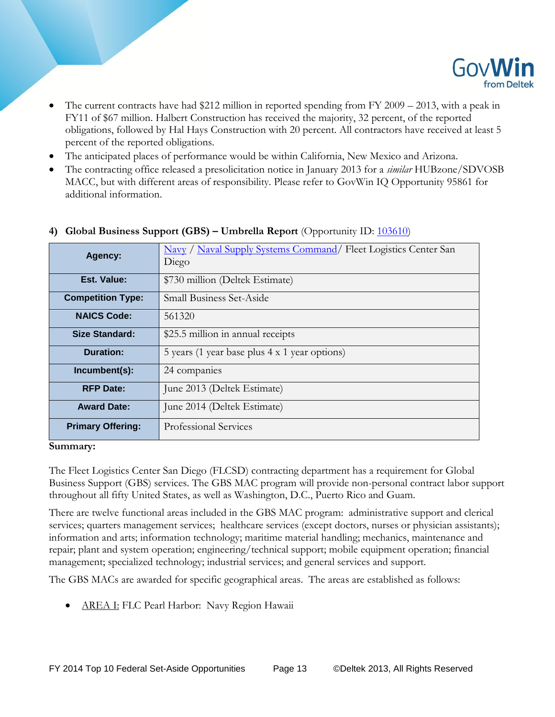

- The current contracts have had \$212 million in reported spending from FY 2009 2013, with a peak in FY11 of \$67 million. Halbert Construction has received the majority, 32 percent, of the reported obligations, followed by Hal Hays Construction with 20 percent. All contractors have received at least 5 percent of the reported obligations.
- The anticipated places of performance would be within California, New Mexico and Arizona.
- The contracting office released a presolicitation notice in January 2013 for a *similar* HUBzone/SDVOSB MACC, but with different areas of responsibility. Please refer to GovWin IQ Opportunity 95861 for additional information.

| Agency:                  | Navy / Naval Supply Systems Command/ Fleet Logistics Center San<br>Diego |
|--------------------------|--------------------------------------------------------------------------|
| Est. Value:              | \$730 million (Deltek Estimate)                                          |
| <b>Competition Type:</b> | <b>Small Business Set-Aside</b>                                          |
| <b>NAICS Code:</b>       | 561320                                                                   |
| Size Standard:           | \$25.5 million in annual receipts                                        |
| Duration:                | 5 years (1 year base plus 4 x 1 year options)                            |
| Incumbent(s):            | 24 companies                                                             |
| <b>RFP Date:</b>         | June 2013 (Deltek Estimate)                                              |
| <b>Award Date:</b>       | June 2014 (Deltek Estimate)                                              |
| <b>Primary Offering:</b> | Professional Services                                                    |

## **4) Global Business Support (GBS) – Umbrella Report** (Opportunity ID: [103610\)](http://iq.govwin.com/neo/opportunity/view/103610)

#### **Summary:**

The Fleet Logistics Center San Diego (FLCSD) contracting department has a requirement for Global Business Support (GBS) services. The GBS MAC program will provide non-personal contract labor support throughout all fifty United States, as well as Washington, D.C., Puerto Rico and Guam.

There are twelve functional areas included in the GBS MAC program: administrative support and clerical services; quarters management services; healthcare services (except doctors, nurses or physician assistants); information and arts; information technology; maritime material handling; mechanics, maintenance and repair; plant and system operation; engineering/technical support; mobile equipment operation; financial management; specialized technology; industrial services; and general services and support.

The GBS MACs are awarded for specific geographical areas. The areas are established as follows:

AREA I: FLC Pearl Harbor: Navy Region Hawaii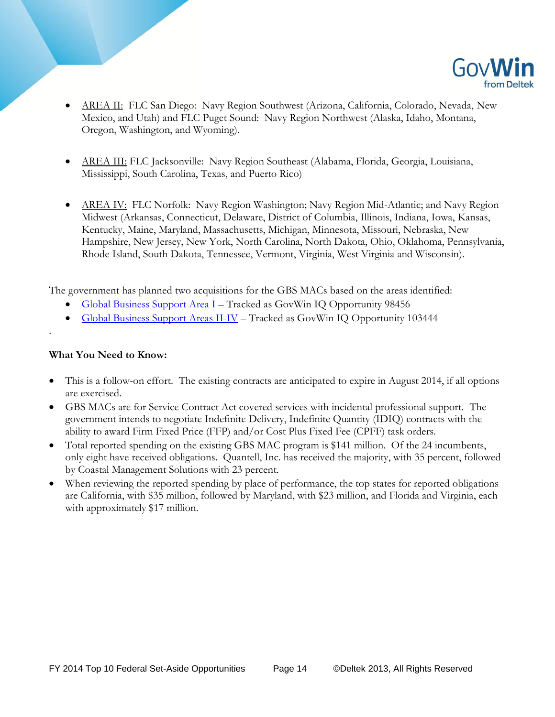

- AREA II: FLC San Diego: Navy Region Southwest (Arizona, California, Colorado, Nevada, New Mexico, and Utah) and FLC Puget Sound: Navy Region Northwest (Alaska, Idaho, Montana, Oregon, Washington, and Wyoming).
- AREA III: FLC Jacksonville: Navy Region Southeast (Alabama, Florida, Georgia, Louisiana, Mississippi, South Carolina, Texas, and Puerto Rico)
- AREA IV: FLC Norfolk: Navy Region Washington; Navy Region Mid-Atlantic; and Navy Region Midwest (Arkansas, Connecticut, Delaware, District of Columbia, Illinois, Indiana, Iowa, Kansas, Kentucky, Maine, Maryland, Massachusetts, Michigan, Minnesota, Missouri, Nebraska, New Hampshire, New Jersey, New York, North Carolina, North Dakota, Ohio, Oklahoma, Pennsylvania, Rhode Island, South Dakota, Tennessee, Vermont, Virginia, West Virginia and Wisconsin).

The government has planned two acquisitions for the GBS MACs based on the areas identified:

- [Global Business Support Area I](http://iq.govwin.com/neo/opportunity/view/98456) Tracked as GovWin IQ Opportunity 98456
- [Global Business Support Areas II-IV](http://iq.govwin.com/neo/opportunity/view/103444) Tracked as GovWin IQ Opportunity 103444

## **What You Need to Know:**

.

- This is a follow-on effort. The existing contracts are anticipated to expire in August 2014, if all options are exercised.
- GBS MACs are for Service Contract Act covered services with incidental professional support. The government intends to negotiate Indefinite Delivery, Indefinite Quantity (IDIQ) contracts with the ability to award Firm Fixed Price (FFP) and/or Cost Plus Fixed Fee (CPFF) task orders.
- Total reported spending on the existing GBS MAC program is \$141 million. Of the 24 incumbents, only eight have received obligations. Quantell, Inc. has received the majority, with 35 percent, followed by Coastal Management Solutions with 23 percent.
- When reviewing the reported spending by place of performance, the top states for reported obligations are California, with \$35 million, followed by Maryland, with \$23 million, and Florida and Virginia, each with approximately \$17 million.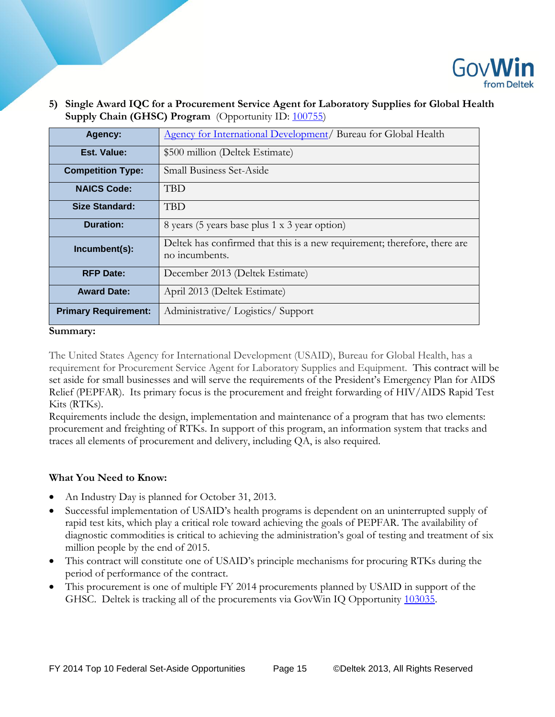

**5) Single Award IQC for a Procurement Service Agent for Laboratory Supplies for Global Health Supply Chain (GHSC) Program** (Opportunity ID: [100755\)](http://iq.govwin.com/neo/opportunity/view/100755)

| Agency:                     | Agency for International Development/ Bureau for Global Health                              |
|-----------------------------|---------------------------------------------------------------------------------------------|
| Est. Value:                 | \$500 million (Deltek Estimate)                                                             |
| <b>Competition Type:</b>    | <b>Small Business Set-Aside</b>                                                             |
| <b>NAICS Code:</b>          | <b>TBD</b>                                                                                  |
| Size Standard:              | <b>TBD</b>                                                                                  |
| Duration:                   | 8 years (5 years base plus 1 x 3 year option)                                               |
| Incumbent(s):               | Deltek has confirmed that this is a new requirement; therefore, there are<br>no incumbents. |
| <b>RFP Date:</b>            | December 2013 (Deltek Estimate)                                                             |
| <b>Award Date:</b>          | April 2013 (Deltek Estimate)                                                                |
| <b>Primary Requirement:</b> | Administrative/Logistics/Support                                                            |

#### **Summary:**

The United States Agency for International Development (USAID), Bureau for Global Health, has a requirement for Procurement Service Agent for Laboratory Supplies and Equipment. This contract will be set aside for small businesses and will serve the requirements of the President's Emergency Plan for AIDS Relief (PEPFAR). Its primary focus is the procurement and freight forwarding of HIV/AIDS Rapid Test Kits (RTKs).

Requirements include the design, implementation and maintenance of a program that has two elements: procurement and freighting of RTKs. In support of this program, an information system that tracks and traces all elements of procurement and delivery, including QA, is also required.

- An Industry Day is planned for October 31, 2013.
- Successful implementation of USAID's health programs is dependent on an uninterrupted supply of rapid test kits, which play a critical role toward achieving the goals of PEPFAR. The availability of diagnostic commodities is critical to achieving the administration's goal of testing and treatment of six million people by the end of 2015.
- This contract will constitute one of USAID's principle mechanisms for procuring RTKs during the period of performance of the contract.
- This procurement is one of multiple FY 2014 procurements planned by USAID in support of the GHSC. Deltek is tracking all of the procurements via GovWin IQ Opportunity [103035.](http://iq.govwin.com/neo/opportunity/view/103035)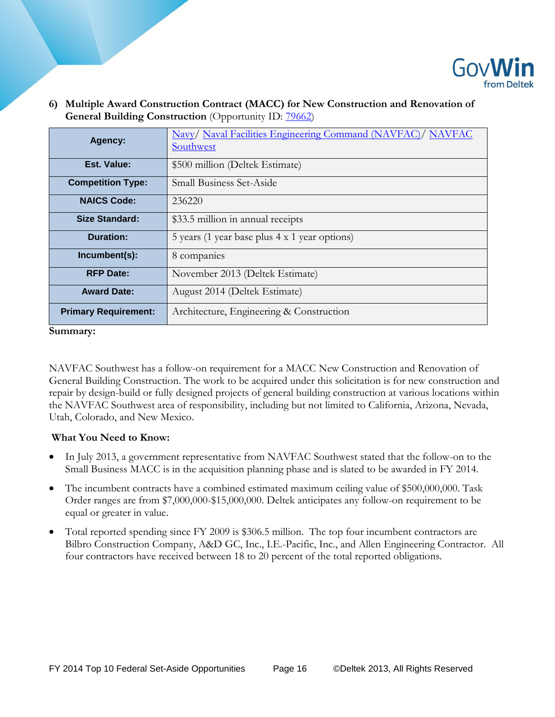

**6) Multiple Award Construction Contract (MACC) for New Construction and Renovation of General Building Construction** (Opportunity ID: [79662\)](http://iq.govwin.com/neo/opportunity/view/79662)

| Agency:                     | Navy/ Naval Facilities Engineering Command (NAVFAC)/ NAVFAC<br>Southwest |
|-----------------------------|--------------------------------------------------------------------------|
| Est. Value:                 | \$500 million (Deltek Estimate)                                          |
| <b>Competition Type:</b>    | <b>Small Business Set-Aside</b>                                          |
| <b>NAICS Code:</b>          | 236220                                                                   |
| <b>Size Standard:</b>       | \$33.5 million in annual receipts                                        |
| Duration:                   | 5 years (1 year base plus 4 x 1 year options)                            |
| Incumbent(s):               | 8 companies                                                              |
| <b>RFP Date:</b>            | November 2013 (Deltek Estimate)                                          |
| <b>Award Date:</b>          | August 2014 (Deltek Estimate)                                            |
| <b>Primary Requirement:</b> | Architecture, Engineering & Construction                                 |

#### **Summary:**

NAVFAC Southwest has a follow-on requirement for a MACC New Construction and Renovation of General Building Construction. The work to be acquired under this solicitation is for new construction and repair by design-build or fully designed projects of general building construction at various locations within the NAVFAC Southwest area of responsibility, including but not limited to California, Arizona, Nevada, Utah, Colorado, and New Mexico.

- In July 2013, a government representative from NAVFAC Southwest stated that the follow-on to the Small Business MACC is in the acquisition planning phase and is slated to be awarded in FY 2014.
- The incumbent contracts have a combined estimated maximum ceiling value of \$500,000,000. Task Order ranges are from \$7,000,000-\$15,000,000. Deltek anticipates any follow-on requirement to be equal or greater in value.
- Total reported spending since FY 2009 is \$306.5 million. The top four incumbent contractors are Bilbro Construction Company, A&D GC, Inc., I.E.-Pacific, Inc., and Allen Engineering Contractor. All four contractors have received between 18 to 20 percent of the total reported obligations.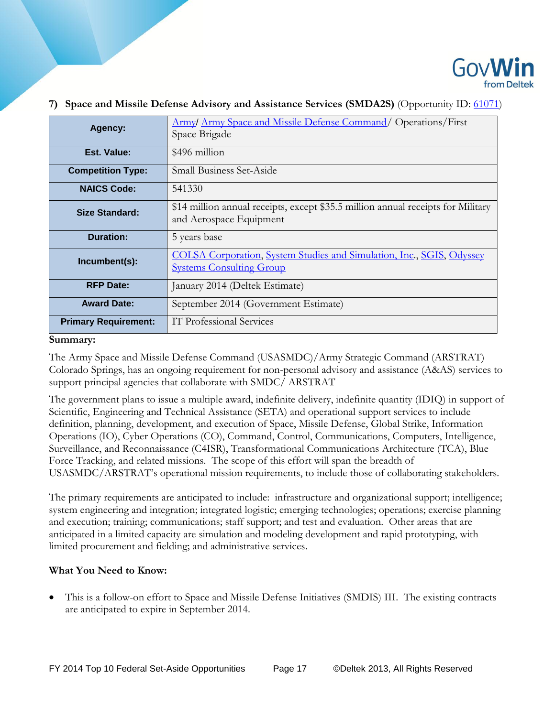

| Agency:                     | <b>Army/Army Space and Missile Defense Command/ Operations/First</b><br>Space Brigade                       |
|-----------------------------|-------------------------------------------------------------------------------------------------------------|
| Est. Value:                 | \$496 million                                                                                               |
| <b>Competition Type:</b>    | <b>Small Business Set-Aside</b>                                                                             |
| <b>NAICS Code:</b>          | 541330                                                                                                      |
| <b>Size Standard:</b>       | \$14 million annual receipts, except \$35.5 million annual receipts for Military<br>and Aerospace Equipment |
| <b>Duration:</b>            | 5 years base                                                                                                |
| Incumbent(s):               | COLSA Corporation, System Studies and Simulation, Inc., SGIS, Odyssey<br><b>Systems Consulting Group</b>    |
| <b>RFP Date:</b>            | January 2014 (Deltek Estimate)                                                                              |
| <b>Award Date:</b>          | September 2014 (Government Estimate)                                                                        |
| <b>Primary Requirement:</b> | IT Professional Services                                                                                    |

#### **7) Space and Missile Defense Advisory and Assistance Services (SMDA2S)** (Opportunity ID: [61071\)](http://iq.govwin.com/neo/opportunity/view/61071)

#### **Summary:**

The Army Space and Missile Defense Command (USASMDC)/Army Strategic Command (ARSTRAT) Colorado Springs, has an ongoing requirement for non-personal advisory and assistance (A&AS) services to support principal agencies that collaborate with SMDC/ ARSTRAT

The government plans to issue a multiple award, indefinite delivery, indefinite quantity (IDIQ) in support of Scientific, Engineering and Technical Assistance (SETA) and operational support services to include definition, planning, development, and execution of Space, Missile Defense, Global Strike, Information Operations (IO), Cyber Operations (CO), Command, Control, Communications, Computers, Intelligence, Surveillance, and Reconnaissance (C4ISR), Transformational Communications Architecture (TCA), Blue Force Tracking, and related missions. The scope of this effort will span the breadth of USASMDC/ARSTRAT's operational mission requirements, to include those of collaborating stakeholders.

The primary requirements are anticipated to include: infrastructure and organizational support; intelligence; system engineering and integration; integrated logistic; emerging technologies; operations; exercise planning and execution; training; communications; staff support; and test and evaluation. Other areas that are anticipated in a limited capacity are simulation and modeling development and rapid prototyping, with limited procurement and fielding; and administrative services.

## **What You Need to Know:**

 This is a follow-on effort to Space and Missile Defense Initiatives (SMDIS) III. The existing contracts are anticipated to expire in September 2014.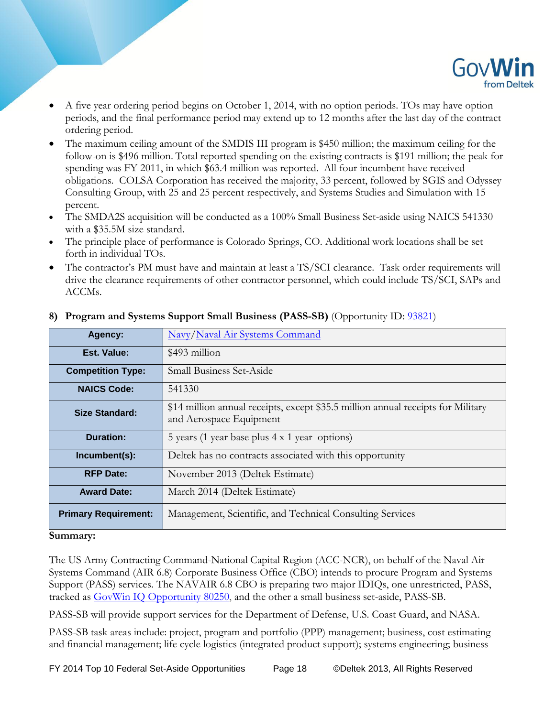

- A five year ordering period begins on October 1, 2014, with no option periods. TOs may have option periods, and the final performance period may extend up to 12 months after the last day of the contract ordering period.
- The maximum ceiling amount of the SMDIS III program is \$450 million; the maximum ceiling for the follow-on is \$496 million. Total reported spending on the existing contracts is \$191 million; the peak for spending was FY 2011, in which \$63.4 million was reported. All four incumbent have received obligations. COLSA Corporation has received the majority, 33 percent, followed by SGIS and Odyssey Consulting Group, with 25 and 25 percent respectively, and Systems Studies and Simulation with 15 percent.
- The SMDA2S acquisition will be conducted as a 100% Small Business Set-aside using NAICS 541330 with a \$35.5M size standard.
- The principle place of performance is Colorado Springs, CO. Additional work locations shall be set forth in individual TOs.
- The contractor's PM must have and maintain at least a TS/SCI clearance. Task order requirements will drive the clearance requirements of other contractor personnel, which could include TS/SCI, SAPs and ACCMs.

| Agency:                     | Navy/Naval Air Systems Command                                                                              |
|-----------------------------|-------------------------------------------------------------------------------------------------------------|
| Est. Value:                 | \$493 million                                                                                               |
| <b>Competition Type:</b>    | <b>Small Business Set-Aside</b>                                                                             |
| <b>NAICS Code:</b>          | 541330                                                                                                      |
| Size Standard:              | \$14 million annual receipts, except \$35.5 million annual receipts for Military<br>and Aerospace Equipment |
| Duration:                   | 5 years (1 year base plus 4 x 1 year options)                                                               |
| Incumbent(s):               | Deltek has no contracts associated with this opportunity                                                    |
| <b>RFP Date:</b>            | November 2013 (Deltek Estimate)                                                                             |
| <b>Award Date:</b>          | March 2014 (Deltek Estimate)                                                                                |
| <b>Primary Requirement:</b> | Management, Scientific, and Technical Consulting Services                                                   |

# **8) Program and Systems Support Small Business (PASS-SB)** (Opportunity ID: [93821\)](http://iq.govwin.com/neo/opportunity/view/93821)

#### **Summary:**

The US Army Contracting Command-National Capital Region (ACC-NCR), on behalf of the Naval Air Systems Command (AIR 6.8) Corporate Business Office (CBO) intends to procure Program and Systems Support (PASS) services. The NAVAIR 6.8 CBO is preparing two major IDIQs, one unrestricted, PASS, tracked as [GovWin IQ Opportunity 80250,](http://iq.govwin.com/neo/opportunity/view/80250) and the other a small business set-aside, PASS-SB.

PASS-SB will provide support services for the Department of Defense, U.S. Coast Guard, and NASA.

PASS-SB task areas include: project, program and portfolio (PPP) management; business, cost estimating and financial management; life cycle logistics (integrated product support); systems engineering; business

FY 2014 Top 10 Federal Set-Aside Opportunities Page 18 ©Deltek 2013, All Rights Reserved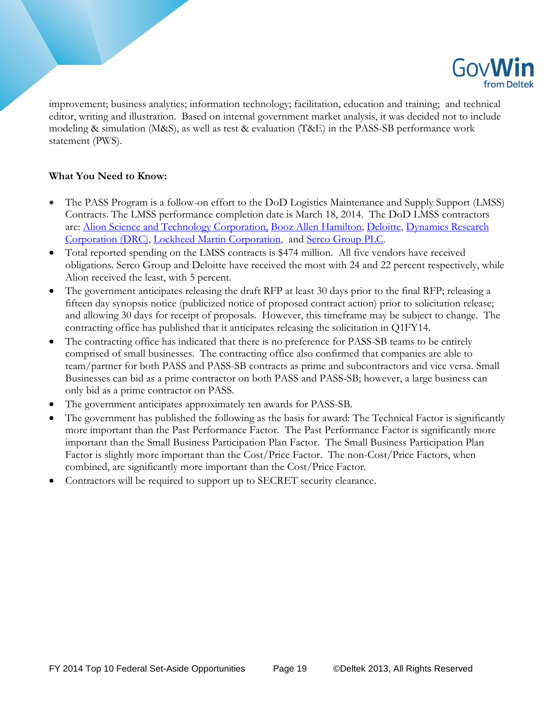

improvement; business analytics; information technology; facilitation, education and training; and technical editor, writing and illustration. Based on internal government market analysis, it was decided not to include modeling & simulation (M&S), as well as test & evaluation (T&E) in the PASS-SB performance work statement (PWS).

- The PASS Program is a follow-on effort to the DoD Logistics Maintenance and Supply Support (LMSS) Contracts. The LMSS performance completion date is March 18, 2014. The DoD LMSS contractors are: [Alion Science and Technology Corporation,](http://iq.govwin.com/neo/contract/view/41945?oppid=41976&GovEntityID=25518) [Booz Allen Hamilton,](http://iq.govwin.com/neo/contract/view/41948?oppid=41976&GovEntityID=25518) [Deloitte,](http://iq.govwin.com/neo/contract/view/41947?oppid=41976&GovEntityID=25518) [Dynamics Research](http://iq.govwin.com/neo/contract/view/41949?oppid=41976&GovEntityID=25518)  [Corporation \(DRC\),](http://iq.govwin.com/neo/contract/view/41949?oppid=41976&GovEntityID=25518) [Lockheed Martin Corporation,](http://iq.govwin.com/neo/contract/view/41950?oppid=41976&GovEntityID=25518) and [Serco Group PLC.](http://iq.govwin.com/neo/contract/view/41956?oppid=41976&GovEntityID=25518)
- Total reported spending on the LMSS contracts is \$474 million. All five vendors have received obligations. Serco Group and Deloitte have received the most with 24 and 22 percent respectively, while Alion received the least, with 5 percent.
- The government anticipates releasing the draft RFP at least 30 days prior to the final RFP; releasing a fifteen day synopsis notice (publicized notice of proposed contract action) prior to solicitation release; and allowing 30 days for receipt of proposals. However, this timeframe may be subject to change. The contracting office has published that it anticipates releasing the solicitation in Q1FY14.
- The contracting office has indicated that there is no preference for PASS-SB teams to be entirely comprised of small businesses. The contracting office also confirmed that companies are able to team/partner for both PASS and PASS-SB contracts as prime and subcontractors and vice versa. Small Businesses can bid as a prime contractor on both PASS and PASS-SB; however, a large business can only bid as a prime contractor on PASS.
- The government anticipates approximately ten awards for PASS-SB.
- The government has published the following as the basis for award: The Technical Factor is significantly more important than the Past Performance Factor. The Past Performance Factor is significantly more important than the Small Business Participation Plan Factor. The Small Business Participation Plan Factor is slightly more important than the Cost/Price Factor. The non-Cost/Price Factors, when combined, are significantly more important than the Cost/Price Factor.
- Contractors will be required to support up to SECRET security clearance.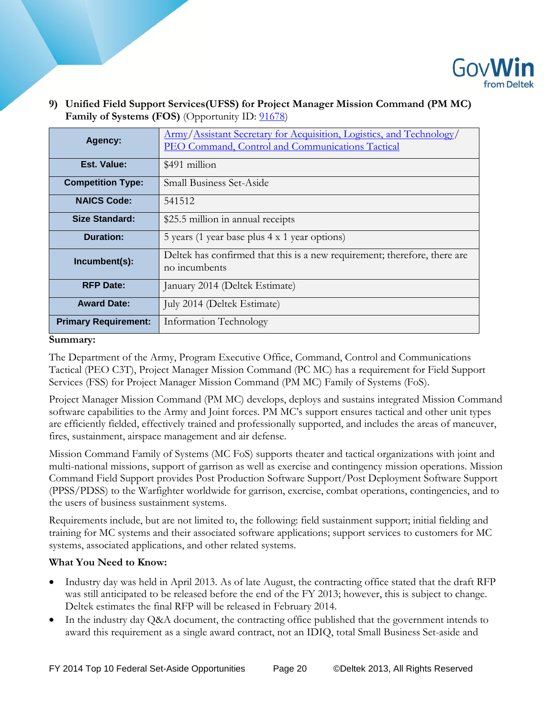

## **9) Unified Field Support Services(UFSS) for Project Manager Mission Command (PM MC) Family of Systems (FOS)** (Opportunity ID:  $91678$ )

| Agency:                     | Army/Assistant Secretary for Acquisition, Logistics, and Technology/<br>PEO Command, Control and Communications Tactical |
|-----------------------------|--------------------------------------------------------------------------------------------------------------------------|
| Est. Value:                 | \$491 million                                                                                                            |
| <b>Competition Type:</b>    | <b>Small Business Set-Aside</b>                                                                                          |
| <b>NAICS Code:</b>          | 541512                                                                                                                   |
| <b>Size Standard:</b>       | \$25.5 million in annual receipts                                                                                        |
| <b>Duration:</b>            | 5 years (1 year base plus 4 x 1 year options)                                                                            |
| Incumbent(s):               | Deltek has confirmed that this is a new requirement; therefore, there are<br>no incumbents                               |
| <b>RFP Date:</b>            | January 2014 (Deltek Estimate)                                                                                           |
| <b>Award Date:</b>          | July 2014 (Deltek Estimate)                                                                                              |
| <b>Primary Requirement:</b> | Information Technology                                                                                                   |

#### **Summary:**

The Department of the Army, Program Executive Office, Command, Control and Communications Tactical (PEO C3T), Project Manager Mission Command (PC MC) has a requirement for Field Support Services (FSS) for Project Manager Mission Command (PM MC) Family of Systems (FoS).

Project Manager Mission Command (PM MC) develops, deploys and sustains integrated Mission Command software capabilities to the Army and Joint forces. PM MC's support ensures tactical and other unit types are efficiently fielded, effectively trained and professionally supported, and includes the areas of maneuver, fires, sustainment, airspace management and air defense.

Mission Command Family of Systems (MC FoS) supports theater and tactical organizations with joint and multi-national missions, support of garrison as well as exercise and contingency mission operations. Mission Command Field Support provides Post Production Software Support/Post Deployment Software Support (PPSS/PDSS) to the Warfighter worldwide for garrison, exercise, combat operations, contingencies, and to the users of business sustainment systems.

Requirements include, but are not limited to, the following: field sustainment support; initial fielding and training for MC systems and their associated software applications; support services to customers for MC systems, associated applications, and other related systems.

- Industry day was held in April 2013. As of late August, the contracting office stated that the draft RFP was still anticipated to be released before the end of the FY 2013; however, this is subject to change. Deltek estimates the final RFP will be released in February 2014.
- In the industry day Q&A document, the contracting office published that the government intends to award this requirement as a single award contract, not an IDIQ, total Small Business Set-aside and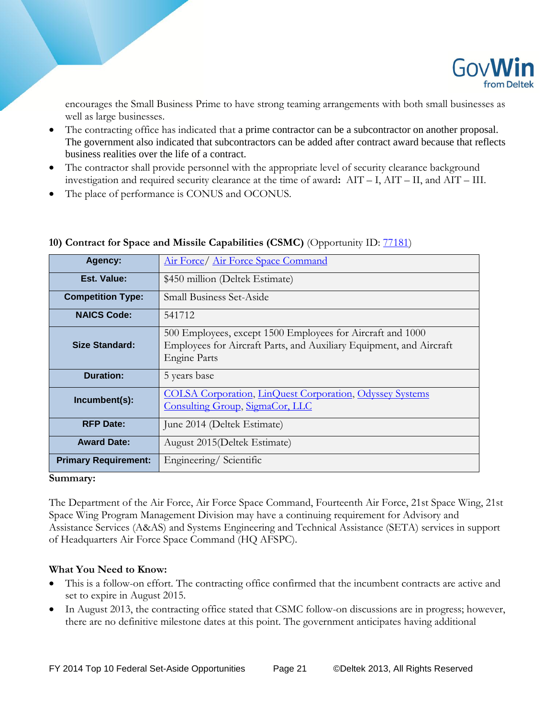

encourages the Small Business Prime to have strong teaming arrangements with both small businesses as well as large businesses.

- The contracting office has indicated that a prime contractor can be a subcontractor on another proposal. The government also indicated that subcontractors can be added after contract award because that reflects business realities over the life of a contract.
- The contractor shall provide personnel with the appropriate level of security clearance background investigation and required security clearance at the time of award**:** AIT – I, AIT – II, and AIT – III.
- The place of performance is CONUS and OCONUS.

| Agency:                     | <u>Air Force/ Air Force Space Command</u>                                                                                                                |
|-----------------------------|----------------------------------------------------------------------------------------------------------------------------------------------------------|
| Est. Value:                 | \$450 million (Deltek Estimate)                                                                                                                          |
| <b>Competition Type:</b>    | <b>Small Business Set-Aside</b>                                                                                                                          |
| <b>NAICS Code:</b>          | 541712                                                                                                                                                   |
| Size Standard:              | 500 Employees, except 1500 Employees for Aircraft and 1000<br>Employees for Aircraft Parts, and Auxiliary Equipment, and Aircraft<br><b>Engine Parts</b> |
| Duration:                   | 5 years base                                                                                                                                             |
| Incumbent(s):               | <b>COLSA Corporation, LinQuest Corporation, Odyssey Systems</b><br>Consulting Group, SigmaCor, LLC                                                       |
| <b>RFP Date:</b>            | June 2014 (Deltek Estimate)                                                                                                                              |
| <b>Award Date:</b>          | August 2015 (Deltek Estimate)                                                                                                                            |
| <b>Primary Requirement:</b> | Engineering/Scientific                                                                                                                                   |

# **10) Contract for Space and Missile Capabilities (CSMC)** (Opportunity ID: [77181\)](http://iq.govwin.com/neo/opportunity/view/77181)

#### **Summary:**

The Department of the Air Force, Air Force Space Command, Fourteenth Air Force, 21st Space Wing, 21st Space Wing Program Management Division may have a continuing requirement for Advisory and Assistance Services (A&AS) and Systems Engineering and Technical Assistance (SETA) services in support of Headquarters Air Force Space Command (HQ AFSPC).

- This is a follow-on effort. The contracting office confirmed that the incumbent contracts are active and set to expire in August 2015.
- In August 2013, the contracting office stated that CSMC follow-on discussions are in progress; however, there are no definitive milestone dates at this point. The government anticipates having additional